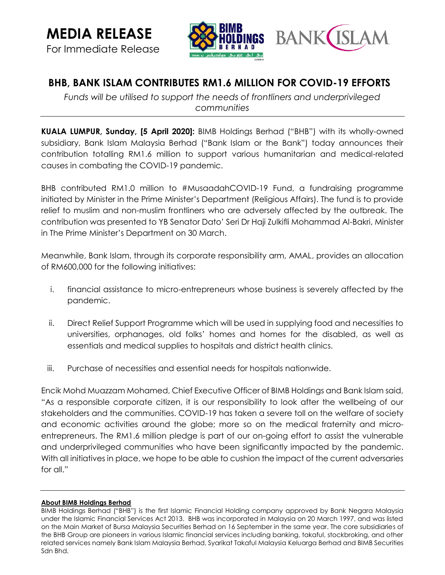For Immediate Release



## **BHB, BANK ISLAM CONTRIBUTES RM1.6 MILLION FOR COVID-19 EFFORTS**

*Funds will be utilised to support the needs of frontliners and underprivileged communities*

**KUALA LUMPUR, Sunday, [5 April 2020]:** BIMB Holdings Berhad ("BHB") with its wholly-owned subsidiary, Bank Islam Malaysia Berhad ("Bank Islam or the Bank") today announces their contribution totalling RM1.6 million to support various humanitarian and medical-related causes in combating the COVID-19 pandemic.

BHB contributed RM1.0 million to #MusaadahCOVID-19 Fund, a fundraising programme initiated by Minister in the Prime Minister's Department (Religious Affairs). The fund is to provide relief to muslim and non-muslim frontliners who are adversely affected by the outbreak. The contribution was presented to YB Senator Dato' Seri Dr Haji Zulkifli Mohammad Al-Bakri, Minister in The Prime Minister's Department on 30 March.

Meanwhile, Bank Islam, through its corporate responsibility arm, AMAL, provides an allocation of RM600,000 for the following initiatives:

- i. financial assistance to micro-entrepreneurs whose business is severely affected by the pandemic.
- ii. Direct Relief Support Programme which will be used in supplying food and necessities to universities, orphanages, old folks' homes and homes for the disabled, as well as essentials and medical supplies to hospitals and district health clinics.
- iii. Purchase of necessities and essential needs for hospitals nationwide.

Encik Mohd Muazzam Mohamed, Chief Executive Officer of BIMB Holdings and Bank Islam said, "As a responsible corporate citizen, it is our responsibility to look after the wellbeing of our stakeholders and the communities. COVID-19 has taken a severe toll on the welfare of society and economic activities around the globe; more so on the medical fraternity and microentrepreneurs. The RM1.6 million pledge is part of our on-going effort to assist the vulnerable and underprivileged communities who have been significantly impacted by the pandemic. With all initiatives in place, we hope to be able to cushion the impact of the current adversaries for all."

## **About BIMB Holdings Berhad**

BIMB Holdings Berhad ("BHB") is the first Islamic Financial Holding company approved by Bank Negara Malaysia under the Islamic Financial Services Act 2013. BHB was incorporated in Malaysia on 20 March 1997, and was listed on the Main Market of Bursa Malaysia Securities Berhad on 16 September in the same year. The core subsidiaries of the BHB Group are pioneers in various Islamic financial services including banking, takaful, stockbroking, and other related services namely Bank Islam Malaysia Berhad, Syarikat Takaful Malaysia Keluarga Berhad and BIMB Securities Sdn Bhd.